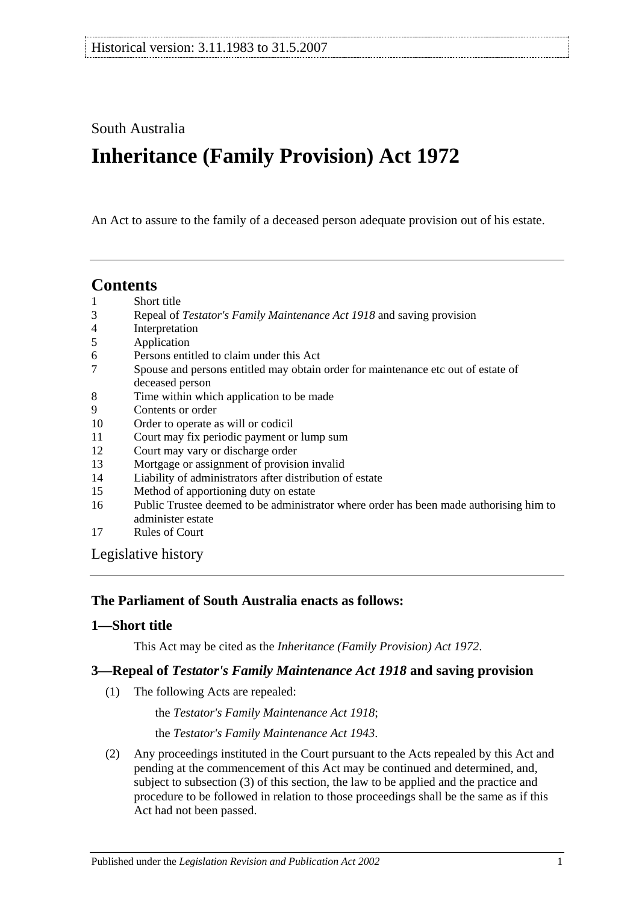## South Australia

# **Inheritance (Family Provision) Act 1972**

An Act to assure to the family of a deceased person adequate provision out of his estate.

## **Contents**

- 1 [Short title](#page-0-0)
- 3 Repeal of *[Testator's Family Maintenance Act](#page-0-1) 1918* and saving provision
- 4 [Interpretation](#page-1-0)
- 5 [Application](#page-1-1)
- 6 [Persons entitled to claim under this Act](#page-1-2)
- 7 [Spouse and persons entitled may obtain order for maintenance etc out of estate of](#page-2-0)  [deceased person](#page-2-0)
- 8 [Time within which application to be made](#page-2-1)
- 9 [Contents or order](#page-3-0)
- 10 [Order to operate as will or codicil](#page-4-0)
- 11 [Court may fix periodic payment or lump sum](#page-4-1)
- 12 [Court may vary or discharge order](#page-4-2)
- 13 [Mortgage or assignment of provision invalid](#page-4-3)
- 14 [Liability of administrators after distribution of estate](#page-4-4)
- 15 [Method of apportioning duty on estate](#page-5-0)
- 16 [Public Trustee deemed to be administrator where order has been made authorising him to](#page-5-1)  [administer estate](#page-5-1)
- 17 [Rules of Court](#page-5-2)

[Legislative history](#page-6-0)

#### **The Parliament of South Australia enacts as follows:**

#### <span id="page-0-0"></span>**1—Short title**

This Act may be cited as the *Inheritance (Family Provision) Act 1972*.

## <span id="page-0-1"></span>**3—Repeal of** *Testator's Family Maintenance Act 1918* **and saving provision**

(1) The following Acts are repealed:

the *[Testator's Family Maintenance Act](http://www.legislation.sa.gov.au/index.aspx?action=legref&type=act&legtitle=Testators%20Family%20Maintenance%20Act%201918) 1918*;

the *[Testator's Family Maintenance Act](http://www.legislation.sa.gov.au/index.aspx?action=legref&type=act&legtitle=Testators%20Family%20Maintenance%20Act%201943) 1943*.

(2) Any proceedings instituted in the Court pursuant to the Acts repealed by this Act and pending at the commencement of this Act may be continued and determined, and, subject to [subsection](#page-1-3) (3) of this section, the law to be applied and the practice and procedure to be followed in relation to those proceedings shall be the same as if this Act had not been passed.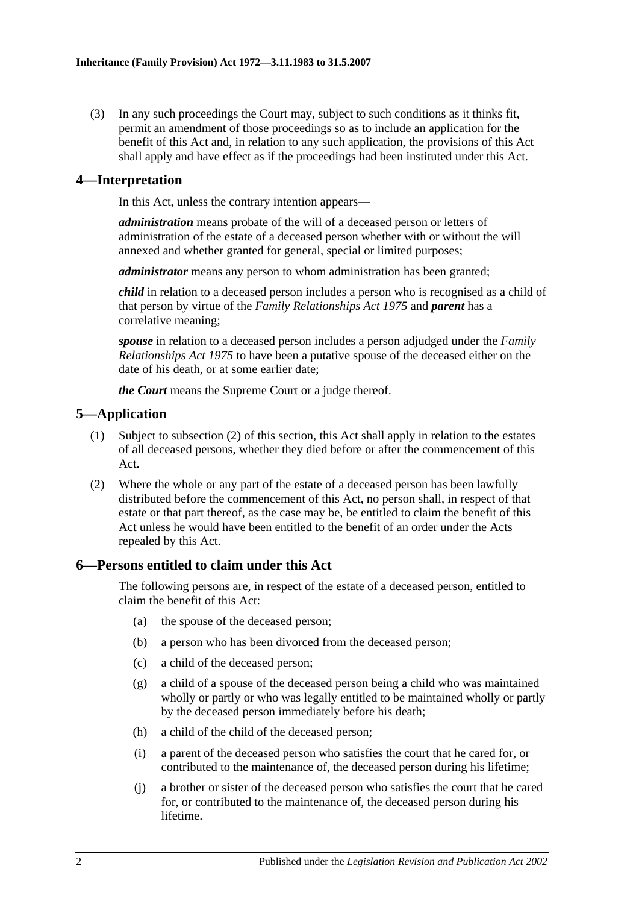<span id="page-1-3"></span>(3) In any such proceedings the Court may, subject to such conditions as it thinks fit, permit an amendment of those proceedings so as to include an application for the benefit of this Act and, in relation to any such application, the provisions of this Act shall apply and have effect as if the proceedings had been instituted under this Act.

#### <span id="page-1-0"></span>**4—Interpretation**

In this Act, unless the contrary intention appears—

*administration* means probate of the will of a deceased person or letters of administration of the estate of a deceased person whether with or without the will annexed and whether granted for general, special or limited purposes;

*administrator* means any person to whom administration has been granted;

*child* in relation to a deceased person includes a person who is recognised as a child of that person by virtue of the *[Family Relationships Act](http://www.legislation.sa.gov.au/index.aspx?action=legref&type=act&legtitle=Family%20Relationships%20Act%201975) 1975* and *parent* has a correlative meaning;

*spouse* in relation to a deceased person includes a person adjudged under the *[Family](http://www.legislation.sa.gov.au/index.aspx?action=legref&type=act&legtitle=Family%20Relationships%20Act%201975)  [Relationships Act](http://www.legislation.sa.gov.au/index.aspx?action=legref&type=act&legtitle=Family%20Relationships%20Act%201975) 1975* to have been a putative spouse of the deceased either on the date of his death, or at some earlier date;

*the Court* means the Supreme Court or a judge thereof.

## <span id="page-1-1"></span>**5—Application**

- (1) Subject to [subsection](#page-1-4) (2) of this section, this Act shall apply in relation to the estates of all deceased persons, whether they died before or after the commencement of this Act.
- <span id="page-1-4"></span>(2) Where the whole or any part of the estate of a deceased person has been lawfully distributed before the commencement of this Act, no person shall, in respect of that estate or that part thereof, as the case may be, be entitled to claim the benefit of this Act unless he would have been entitled to the benefit of an order under the Acts repealed by this Act.

#### <span id="page-1-2"></span>**6—Persons entitled to claim under this Act**

The following persons are, in respect of the estate of a deceased person, entitled to claim the benefit of this Act:

- (a) the spouse of the deceased person;
- (b) a person who has been divorced from the deceased person;
- (c) a child of the deceased person;
- (g) a child of a spouse of the deceased person being a child who was maintained wholly or partly or who was legally entitled to be maintained wholly or partly by the deceased person immediately before his death;
- (h) a child of the child of the deceased person;
- (i) a parent of the deceased person who satisfies the court that he cared for, or contributed to the maintenance of, the deceased person during his lifetime;
- (j) a brother or sister of the deceased person who satisfies the court that he cared for, or contributed to the maintenance of, the deceased person during his lifetime.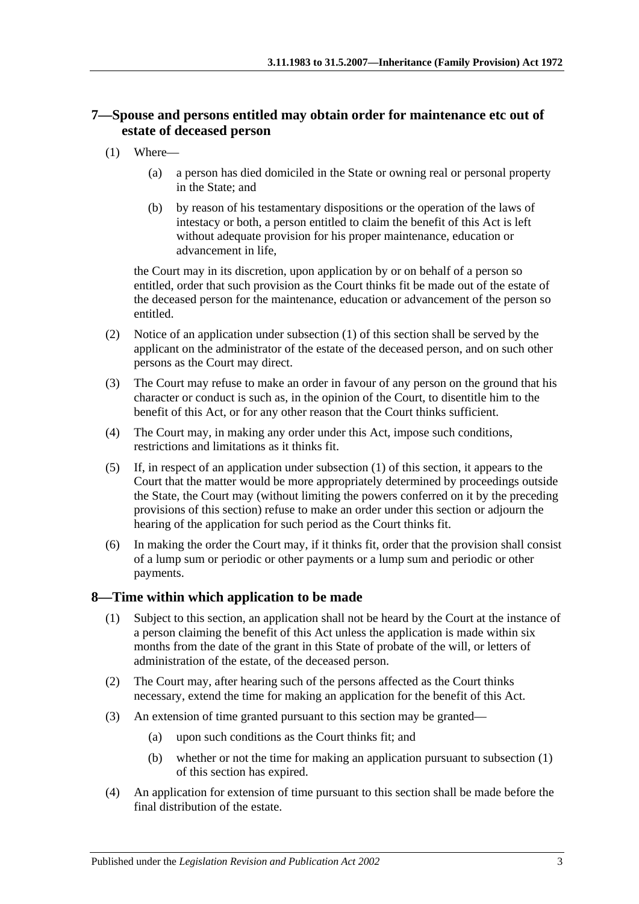## <span id="page-2-0"></span>**7—Spouse and persons entitled may obtain order for maintenance etc out of estate of deceased person**

- <span id="page-2-2"></span>(1) Where—
	- (a) a person has died domiciled in the State or owning real or personal property in the State; and
	- (b) by reason of his testamentary dispositions or the operation of the laws of intestacy or both, a person entitled to claim the benefit of this Act is left without adequate provision for his proper maintenance, education or advancement in life,

the Court may in its discretion, upon application by or on behalf of a person so entitled, order that such provision as the Court thinks fit be made out of the estate of the deceased person for the maintenance, education or advancement of the person so entitled.

- (2) Notice of an application under [subsection](#page-2-2) (1) of this section shall be served by the applicant on the administrator of the estate of the deceased person, and on such other persons as the Court may direct.
- (3) The Court may refuse to make an order in favour of any person on the ground that his character or conduct is such as, in the opinion of the Court, to disentitle him to the benefit of this Act, or for any other reason that the Court thinks sufficient.
- (4) The Court may, in making any order under this Act, impose such conditions, restrictions and limitations as it thinks fit.
- (5) If, in respect of an application under [subsection](#page-2-2) (1) of this section, it appears to the Court that the matter would be more appropriately determined by proceedings outside the State, the Court may (without limiting the powers conferred on it by the preceding provisions of this section) refuse to make an order under this section or adjourn the hearing of the application for such period as the Court thinks fit.
- (6) In making the order the Court may, if it thinks fit, order that the provision shall consist of a lump sum or periodic or other payments or a lump sum and periodic or other payments.

## <span id="page-2-3"></span><span id="page-2-1"></span>**8—Time within which application to be made**

- (1) Subject to this section, an application shall not be heard by the Court at the instance of a person claiming the benefit of this Act unless the application is made within six months from the date of the grant in this State of probate of the will, or letters of administration of the estate, of the deceased person.
- (2) The Court may, after hearing such of the persons affected as the Court thinks necessary, extend the time for making an application for the benefit of this Act.
- (3) An extension of time granted pursuant to this section may be granted—
	- (a) upon such conditions as the Court thinks fit; and
	- (b) whether or not the time for making an application pursuant to [subsection](#page-2-3) (1) of this section has expired.
- (4) An application for extension of time pursuant to this section shall be made before the final distribution of the estate.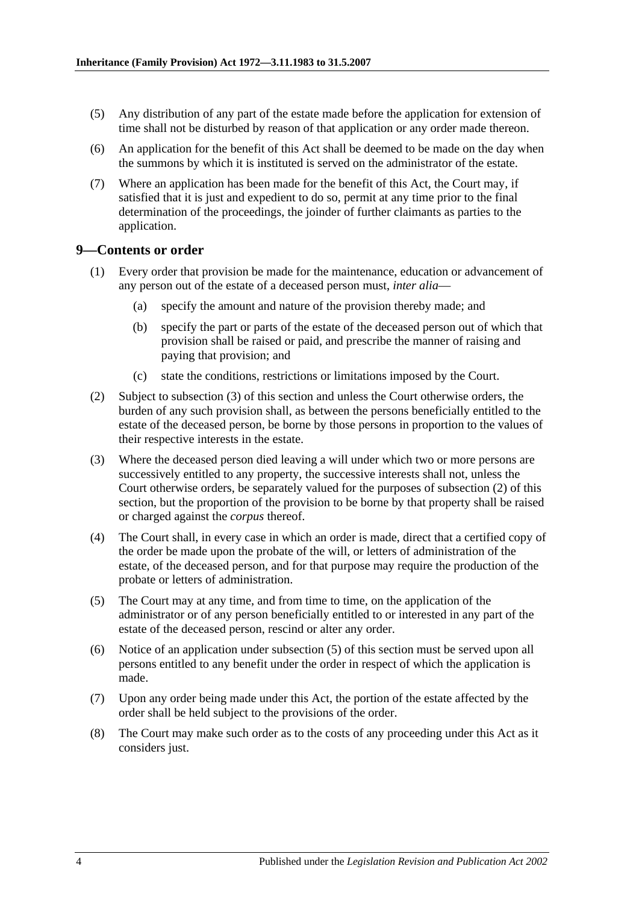- (5) Any distribution of any part of the estate made before the application for extension of time shall not be disturbed by reason of that application or any order made thereon.
- (6) An application for the benefit of this Act shall be deemed to be made on the day when the summons by which it is instituted is served on the administrator of the estate.
- (7) Where an application has been made for the benefit of this Act, the Court may, if satisfied that it is just and expedient to do so, permit at any time prior to the final determination of the proceedings, the joinder of further claimants as parties to the application.

#### <span id="page-3-0"></span>**9—Contents or order**

- (1) Every order that provision be made for the maintenance, education or advancement of any person out of the estate of a deceased person must, *inter alia*—
	- (a) specify the amount and nature of the provision thereby made; and
	- (b) specify the part or parts of the estate of the deceased person out of which that provision shall be raised or paid, and prescribe the manner of raising and paying that provision; and
	- (c) state the conditions, restrictions or limitations imposed by the Court.
- <span id="page-3-2"></span>(2) Subject to [subsection](#page-3-1) (3) of this section and unless the Court otherwise orders, the burden of any such provision shall, as between the persons beneficially entitled to the estate of the deceased person, be borne by those persons in proportion to the values of their respective interests in the estate.
- <span id="page-3-1"></span>(3) Where the deceased person died leaving a will under which two or more persons are successively entitled to any property, the successive interests shall not, unless the Court otherwise orders, be separately valued for the purposes of [subsection](#page-3-2) (2) of this section, but the proportion of the provision to be borne by that property shall be raised or charged against the *corpus* thereof.
- (4) The Court shall, in every case in which an order is made, direct that a certified copy of the order be made upon the probate of the will, or letters of administration of the estate, of the deceased person, and for that purpose may require the production of the probate or letters of administration.
- <span id="page-3-3"></span>(5) The Court may at any time, and from time to time, on the application of the administrator or of any person beneficially entitled to or interested in any part of the estate of the deceased person, rescind or alter any order.
- (6) Notice of an application under [subsection](#page-3-3) (5) of this section must be served upon all persons entitled to any benefit under the order in respect of which the application is made.
- (7) Upon any order being made under this Act, the portion of the estate affected by the order shall be held subject to the provisions of the order.
- (8) The Court may make such order as to the costs of any proceeding under this Act as it considers just.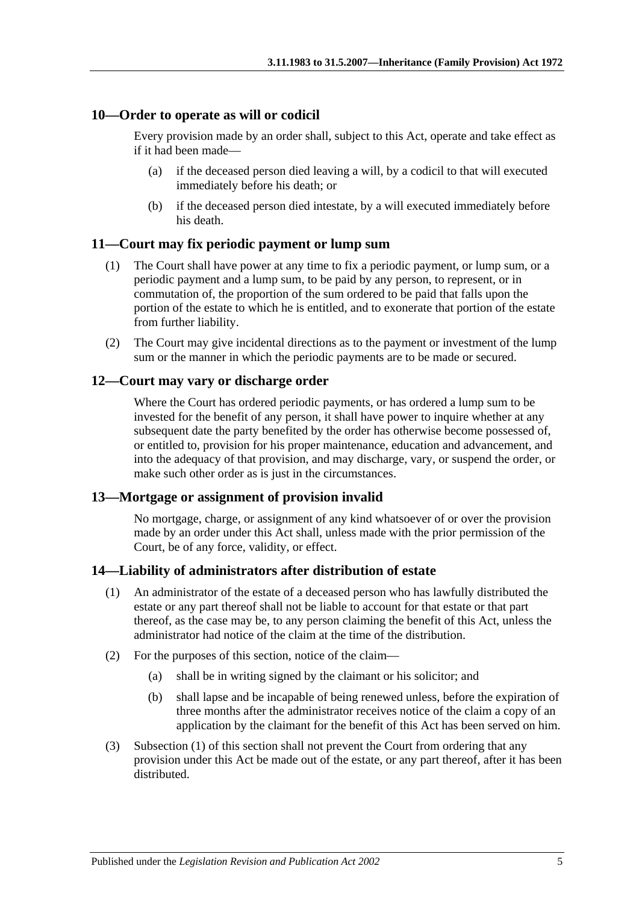#### <span id="page-4-0"></span>**10—Order to operate as will or codicil**

Every provision made by an order shall, subject to this Act, operate and take effect as if it had been made—

- (a) if the deceased person died leaving a will, by a codicil to that will executed immediately before his death; or
- (b) if the deceased person died intestate, by a will executed immediately before his death.

#### <span id="page-4-1"></span>**11—Court may fix periodic payment or lump sum**

- (1) The Court shall have power at any time to fix a periodic payment, or lump sum, or a periodic payment and a lump sum, to be paid by any person, to represent, or in commutation of, the proportion of the sum ordered to be paid that falls upon the portion of the estate to which he is entitled, and to exonerate that portion of the estate from further liability.
- (2) The Court may give incidental directions as to the payment or investment of the lump sum or the manner in which the periodic payments are to be made or secured.

#### <span id="page-4-2"></span>**12—Court may vary or discharge order**

Where the Court has ordered periodic payments, or has ordered a lump sum to be invested for the benefit of any person, it shall have power to inquire whether at any subsequent date the party benefited by the order has otherwise become possessed of, or entitled to, provision for his proper maintenance, education and advancement, and into the adequacy of that provision, and may discharge, vary, or suspend the order, or make such other order as is just in the circumstances.

#### <span id="page-4-3"></span>**13—Mortgage or assignment of provision invalid**

No mortgage, charge, or assignment of any kind whatsoever of or over the provision made by an order under this Act shall, unless made with the prior permission of the Court, be of any force, validity, or effect.

#### <span id="page-4-5"></span><span id="page-4-4"></span>**14—Liability of administrators after distribution of estate**

- (1) An administrator of the estate of a deceased person who has lawfully distributed the estate or any part thereof shall not be liable to account for that estate or that part thereof, as the case may be, to any person claiming the benefit of this Act, unless the administrator had notice of the claim at the time of the distribution.
- (2) For the purposes of this section, notice of the claim—
	- (a) shall be in writing signed by the claimant or his solicitor; and
	- (b) shall lapse and be incapable of being renewed unless, before the expiration of three months after the administrator receives notice of the claim a copy of an application by the claimant for the benefit of this Act has been served on him.
- (3) [Subsection](#page-4-5) (1) of this section shall not prevent the Court from ordering that any provision under this Act be made out of the estate, or any part thereof, after it has been distributed.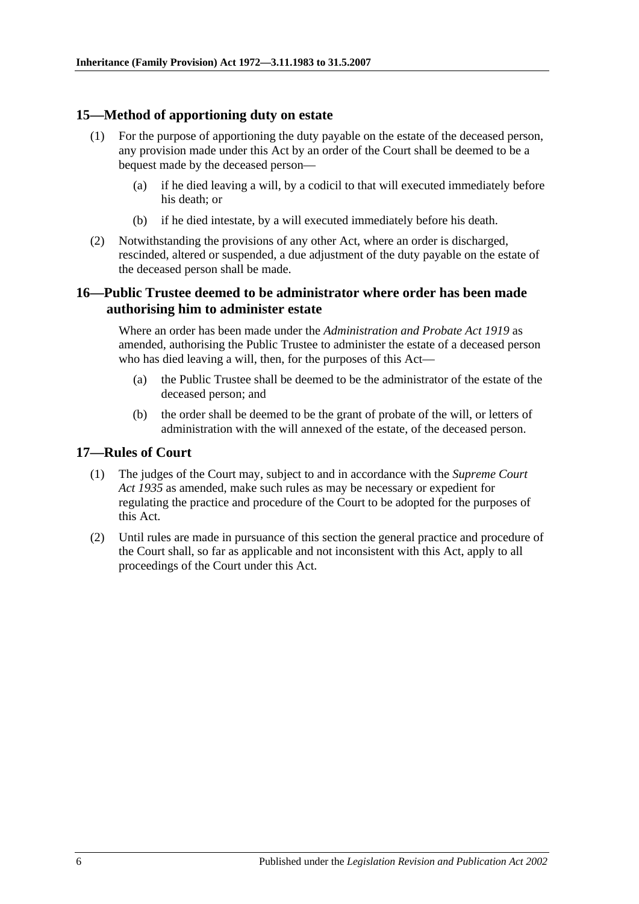#### <span id="page-5-0"></span>**15—Method of apportioning duty on estate**

- (1) For the purpose of apportioning the duty payable on the estate of the deceased person, any provision made under this Act by an order of the Court shall be deemed to be a bequest made by the deceased person—
	- (a) if he died leaving a will, by a codicil to that will executed immediately before his death; or
	- (b) if he died intestate, by a will executed immediately before his death.
- (2) Notwithstanding the provisions of any other Act, where an order is discharged, rescinded, altered or suspended, a due adjustment of the duty payable on the estate of the deceased person shall be made.

## <span id="page-5-1"></span>**16—Public Trustee deemed to be administrator where order has been made authorising him to administer estate**

Where an order has been made under the *[Administration and Probate Act](http://www.legislation.sa.gov.au/index.aspx?action=legref&type=act&legtitle=Administration%20and%20Probate%20Act%201919) 1919* as amended, authorising the Public Trustee to administer the estate of a deceased person who has died leaving a will, then, for the purposes of this Act–

- (a) the Public Trustee shall be deemed to be the administrator of the estate of the deceased person; and
- (b) the order shall be deemed to be the grant of probate of the will, or letters of administration with the will annexed of the estate, of the deceased person.

#### <span id="page-5-2"></span>**17—Rules of Court**

- (1) The judges of the Court may, subject to and in accordance with the *[Supreme Court](http://www.legislation.sa.gov.au/index.aspx?action=legref&type=act&legtitle=Supreme%20Court%20Act%201935)  Act [1935](http://www.legislation.sa.gov.au/index.aspx?action=legref&type=act&legtitle=Supreme%20Court%20Act%201935)* as amended, make such rules as may be necessary or expedient for regulating the practice and procedure of the Court to be adopted for the purposes of this Act.
- (2) Until rules are made in pursuance of this section the general practice and procedure of the Court shall, so far as applicable and not inconsistent with this Act, apply to all proceedings of the Court under this Act.